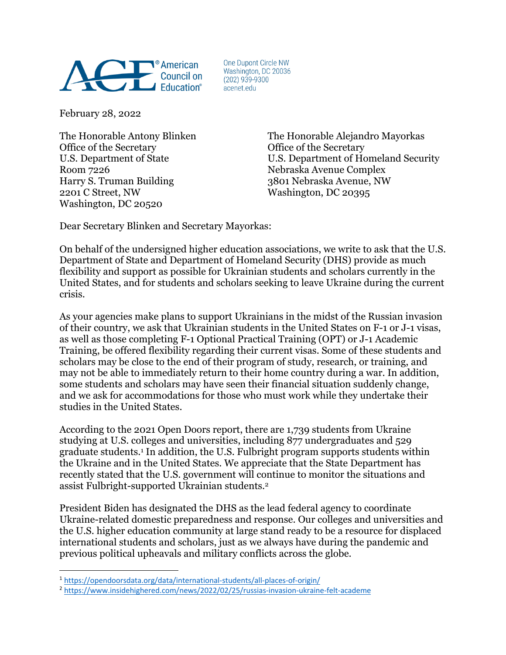

One Dupont Circle NW Washington, DC 20036  $(202)$  939-9300 acenet.edu

February 28, 2022

Office of the Secretary **Office** of the Secretary Room 7226 Nebraska Avenue Complex Harry S. Truman Building 3801 Nebraska Avenue, NW 2201 C Street, NW Washington, DC 20395 Washington, DC 20520

The Honorable Antony Blinken The Honorable Alejandro Mayorkas U.S. Department of State U.S. Department of Homeland Security

Dear Secretary Blinken and Secretary Mayorkas:

On behalf of the undersigned higher education associations, we write to ask that the U.S. Department of State and Department of Homeland Security (DHS) provide as much flexibility and support as possible for Ukrainian students and scholars currently in the United States, and for students and scholars seeking to leave Ukraine during the current crisis.

As your agencies make plans to support Ukrainians in the midst of the Russian invasion of their country, we ask that Ukrainian students in the United States on F-1 or J-1 visas, as well as those completing F-1 Optional Practical Training (OPT) or J-1 Academic Training, be offered flexibility regarding their current visas. Some of these students and scholars may be close to the end of their program of study, research, or training, and may not be able to immediately return to their home country during a war. In addition, some students and scholars may have seen their financial situation suddenly change, and we ask for accommodations for those who must work while they undertake their studies in the United States.

According to the 2021 Open Doors report, there are 1,739 students from Ukraine studying at U.S. colleges and universities, including 877 undergraduates and 529 graduate students.1 In addition, the U.S. Fulbright program supports students within the Ukraine and in the United States. We appreciate that the State Department has recently stated that the U.S. government will continue to monitor the situations and assist Fulbright-supported Ukrainian students.2

President Biden has designated the DHS as the lead federal agency to coordinate Ukraine-related domestic preparedness and response. Our colleges and universities and the U.S. higher education community at large stand ready to be a resource for displaced international students and scholars, just as we always have during the pandemic and previous political upheavals and military conflicts across the globe.

<sup>1</sup> https://opendoorsdata.org/data/international-students/all-places-of-origin/

<sup>2</sup> https://www.insidehighered.com/news/2022/02/25/russias-invasion-ukraine-felt-academe